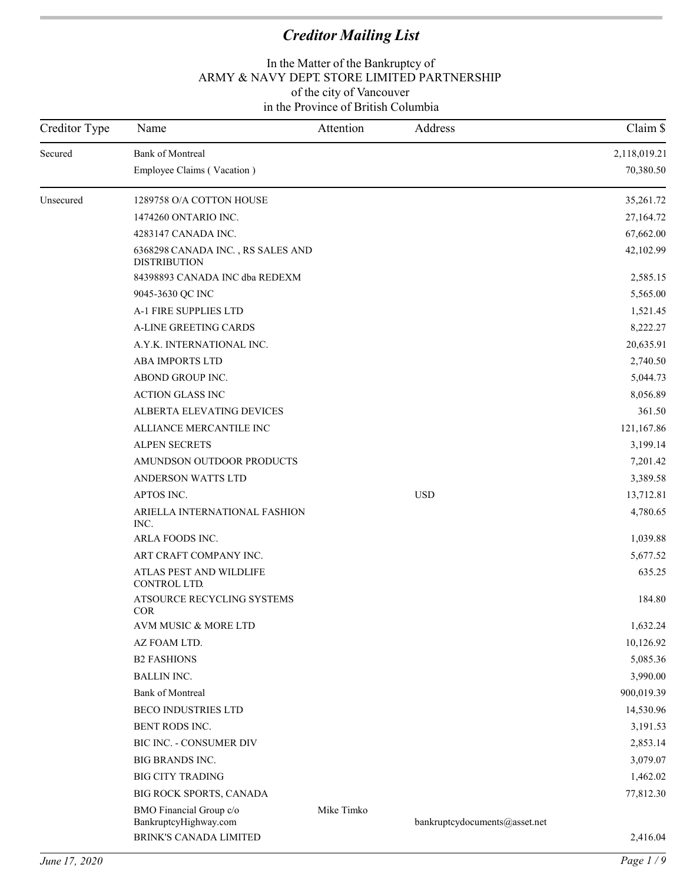| Creditor Type | Name                                                                       | Attention  | Address                       | Claim \$     |
|---------------|----------------------------------------------------------------------------|------------|-------------------------------|--------------|
| Secured       | <b>Bank of Montreal</b>                                                    |            |                               | 2,118,019.21 |
|               | Employee Claims (Vacation)                                                 |            |                               | 70,380.50    |
| Unsecured     | 1289758 O/A COTTON HOUSE                                                   |            |                               | 35,261.72    |
|               | 1474260 ONTARIO INC.                                                       |            |                               | 27,164.72    |
|               | 4283147 CANADA INC.                                                        |            |                               | 67,662.00    |
|               | 6368298 CANADA INC., RS SALES AND<br><b>DISTRIBUTION</b>                   |            |                               | 42,102.99    |
|               | 84398893 CANADA INC dba REDEXM                                             |            |                               | 2,585.15     |
|               | 9045-3630 QC INC                                                           |            |                               | 5,565.00     |
|               | A-1 FIRE SUPPLIES LTD                                                      |            |                               | 1,521.45     |
|               | A-LINE GREETING CARDS                                                      |            |                               | 8,222.27     |
|               | A.Y.K. INTERNATIONAL INC.                                                  |            |                               | 20,635.91    |
|               | ABA IMPORTS LTD                                                            |            |                               | 2,740.50     |
|               | ABOND GROUP INC.                                                           |            |                               | 5,044.73     |
|               | <b>ACTION GLASS INC</b>                                                    |            |                               | 8,056.89     |
|               | ALBERTA ELEVATING DEVICES                                                  |            |                               | 361.50       |
|               | ALLIANCE MERCANTILE INC                                                    |            |                               | 121,167.86   |
|               | <b>ALPEN SECRETS</b>                                                       |            |                               | 3,199.14     |
|               | AMUNDSON OUTDOOR PRODUCTS                                                  |            |                               | 7,201.42     |
|               | ANDERSON WATTS LTD                                                         |            |                               | 3,389.58     |
|               | APTOS INC.                                                                 |            | <b>USD</b>                    | 13,712.81    |
|               | ARIELLA INTERNATIONAL FASHION<br>INC.                                      |            |                               | 4,780.65     |
|               | ARLA FOODS INC.                                                            |            |                               | 1,039.88     |
|               | ART CRAFT COMPANY INC.                                                     |            |                               | 5,677.52     |
|               | ATLAS PEST AND WILDLIFE<br>CONTROL LTD.                                    |            |                               | 635.25       |
|               | ATSOURCE RECYCLING SYSTEMS<br><b>COR</b>                                   |            |                               | 184.80       |
|               | AVM MUSIC & MORE LTD                                                       |            |                               | 1,632.24     |
|               | AZ FOAM LTD.                                                               |            |                               | 10,126.92    |
|               | <b>B2 FASHIONS</b>                                                         |            |                               | 5,085.36     |
|               | <b>BALLIN INC.</b>                                                         |            |                               | 3,990.00     |
|               | <b>Bank of Montreal</b>                                                    |            |                               | 900,019.39   |
|               | <b>BECO INDUSTRIES LTD</b>                                                 |            |                               | 14,530.96    |
|               | BENT RODS INC.                                                             |            |                               | 3,191.53     |
|               | BIC INC. - CONSUMER DIV                                                    |            |                               | 2,853.14     |
|               | <b>BIG BRANDS INC.</b>                                                     |            |                               | 3,079.07     |
|               | <b>BIG CITY TRADING</b>                                                    |            |                               | 1,462.02     |
|               | BIG ROCK SPORTS, CANADA                                                    |            |                               | 77,812.30    |
|               | BMO Financial Group c/o<br>BankruptcyHighway.com<br>BRINK'S CANADA LIMITED | Mike Timko | bankruptcydocuments@asset.net | 2,416.04     |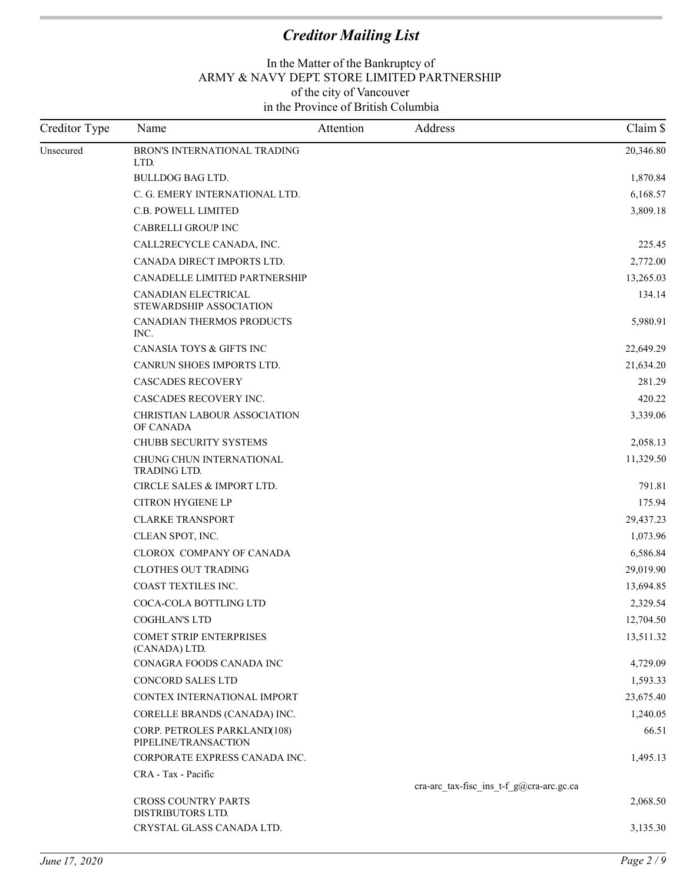| Creditor Type | Name                                                 | Attention | Address                                  | Claim \$  |
|---------------|------------------------------------------------------|-----------|------------------------------------------|-----------|
| Unsecured     | BRON'S INTERNATIONAL TRADING<br>LTD.                 |           |                                          | 20,346.80 |
|               | <b>BULLDOG BAG LTD.</b>                              |           |                                          | 1,870.84  |
|               | C. G. EMERY INTERNATIONAL LTD.                       |           |                                          | 6,168.57  |
|               | C.B. POWELL LIMITED                                  |           |                                          | 3,809.18  |
|               | CABRELLI GROUP INC                                   |           |                                          |           |
|               | CALL2RECYCLE CANADA, INC.                            |           |                                          | 225.45    |
|               | CANADA DIRECT IMPORTS LTD.                           |           |                                          | 2,772.00  |
|               | CANADELLE LIMITED PARTNERSHIP                        |           |                                          | 13,265.03 |
|               | CANADIAN ELECTRICAL<br>STEWARDSHIP ASSOCIATION       |           |                                          | 134.14    |
|               | CANADIAN THERMOS PRODUCTS<br>INC.                    |           |                                          | 5,980.91  |
|               | CANASIA TOYS & GIFTS INC                             |           |                                          | 22,649.29 |
|               | CANRUN SHOES IMPORTS LTD.                            |           |                                          | 21,634.20 |
|               | <b>CASCADES RECOVERY</b>                             |           |                                          | 281.29    |
|               | CASCADES RECOVERY INC.                               |           |                                          | 420.22    |
|               | <b>CHRISTIAN LABOUR ASSOCIATION</b><br>OF CANADA     |           |                                          | 3,339.06  |
|               | CHUBB SECURITY SYSTEMS                               |           |                                          | 2,058.13  |
|               | CHUNG CHUN INTERNATIONAL<br>TRADING LTD.             |           |                                          | 11,329.50 |
|               | CIRCLE SALES & IMPORT LTD.                           |           |                                          | 791.81    |
|               | <b>CITRON HYGIENE LP</b>                             |           |                                          | 175.94    |
|               | <b>CLARKE TRANSPORT</b>                              |           |                                          | 29,437.23 |
|               | CLEAN SPOT, INC.                                     |           |                                          | 1,073.96  |
|               | CLOROX COMPANY OF CANADA                             |           |                                          | 6,586.84  |
|               | <b>CLOTHES OUT TRADING</b>                           |           |                                          | 29,019.90 |
|               | COAST TEXTILES INC.                                  |           |                                          | 13,694.85 |
|               | COCA-COLA BOTTLING LTD                               |           |                                          | 2,329.54  |
|               | <b>COGHLAN'S LTD</b>                                 |           |                                          | 12,704.50 |
|               | <b>COMET STRIP ENTERPRISES</b><br>(CANADA) LTD.      |           |                                          | 13,511.32 |
|               | CONAGRA FOODS CANADA INC                             |           |                                          | 4,729.09  |
|               | <b>CONCORD SALES LTD</b>                             |           |                                          | 1,593.33  |
|               | CONTEX INTERNATIONAL IMPORT                          |           |                                          | 23,675.40 |
|               | CORELLE BRANDS (CANADA) INC.                         |           |                                          | 1,240.05  |
|               | CORP. PETROLES PARKLAND(108)<br>PIPELINE/TRANSACTION |           |                                          | 66.51     |
|               | CORPORATE EXPRESS CANADA INC.                        |           |                                          | 1,495.13  |
|               | CRA - Tax - Pacific                                  |           |                                          |           |
|               |                                                      |           | cra-arc_tax-fisc_ins_t-f_g@cra-arc.gc.ca |           |
|               | <b>CROSS COUNTRY PARTS</b><br>DISTRIBUTORS LTD.      |           |                                          | 2,068.50  |
|               | CRYSTAL GLASS CANADA LTD.                            |           |                                          | 3,135.30  |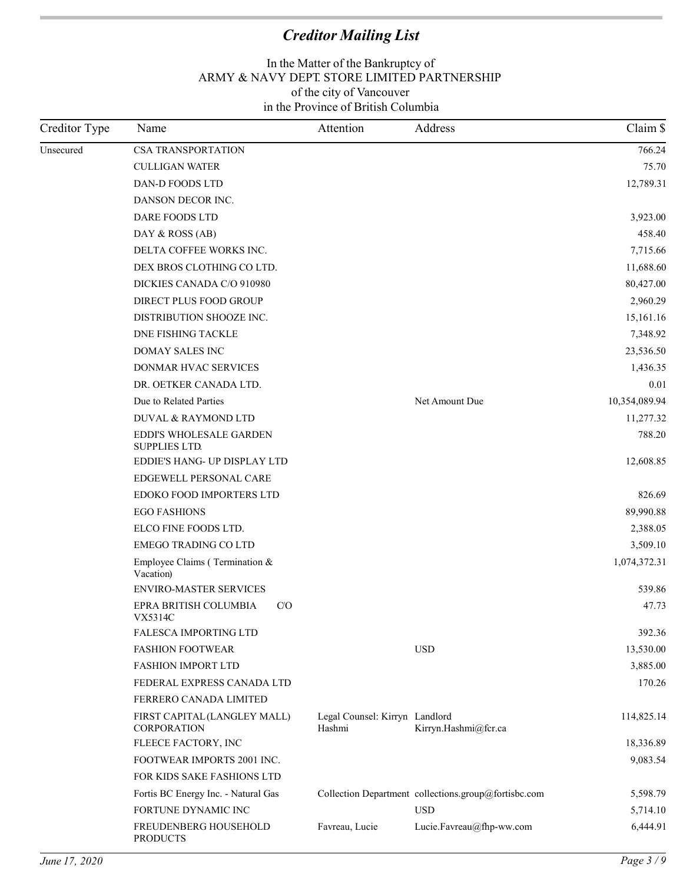| Creditor Type | Name                                               | Attention                                | Address                                              | Claim \$      |
|---------------|----------------------------------------------------|------------------------------------------|------------------------------------------------------|---------------|
| Unsecured     | <b>CSA TRANSPORTATION</b>                          |                                          |                                                      | 766.24        |
|               | <b>CULLIGAN WATER</b>                              |                                          |                                                      | 75.70         |
|               | DAN-D FOODS LTD                                    |                                          |                                                      | 12,789.31     |
|               | DANSON DECOR INC.                                  |                                          |                                                      |               |
|               | DARE FOODS LTD                                     |                                          |                                                      | 3,923.00      |
|               | DAY & ROSS (AB)                                    |                                          |                                                      | 458.40        |
|               | DELTA COFFEE WORKS INC.                            |                                          |                                                      | 7,715.66      |
|               | DEX BROS CLOTHING CO LTD.                          |                                          |                                                      | 11,688.60     |
|               | DICKIES CANADA C/O 910980                          |                                          |                                                      | 80,427.00     |
|               | DIRECT PLUS FOOD GROUP                             |                                          |                                                      | 2,960.29      |
|               | DISTRIBUTION SHOOZE INC.                           |                                          |                                                      | 15,161.16     |
|               | <b>DNE FISHING TACKLE</b>                          |                                          |                                                      | 7,348.92      |
|               | <b>DOMAY SALES INC</b>                             |                                          |                                                      | 23,536.50     |
|               | DONMAR HVAC SERVICES                               |                                          |                                                      | 1,436.35      |
|               | DR. OETKER CANADA LTD.                             |                                          |                                                      | 0.01          |
|               | Due to Related Parties                             |                                          | Net Amount Due                                       | 10,354,089.94 |
|               | DUVAL & RAYMOND LTD                                |                                          |                                                      | 11,277.32     |
|               | EDDI'S WHOLESALE GARDEN<br><b>SUPPLIES LTD.</b>    |                                          |                                                      | 788.20        |
|               | EDDIE'S HANG- UP DISPLAY LTD                       |                                          |                                                      | 12,608.85     |
|               | EDGEWELL PERSONAL CARE                             |                                          |                                                      |               |
|               | EDOKO FOOD IMPORTERS LTD                           |                                          |                                                      | 826.69        |
|               | <b>EGO FASHIONS</b>                                |                                          |                                                      | 89,990.88     |
|               | ELCO FINE FOODS LTD.                               |                                          |                                                      | 2,388.05      |
|               | <b>EMEGO TRADING CO LTD</b>                        |                                          |                                                      | 3,509.10      |
|               | Employee Claims (Termination $&$<br>Vacation)      |                                          |                                                      | 1,074,372.31  |
|               | ENVIRO-MASTER SERVICES                             |                                          |                                                      | 539.86        |
|               | EPRA BRITISH COLUMBIA<br>CO<br>VX5314C             |                                          |                                                      | 47.73         |
|               | FALESCA IMPORTING LTD                              |                                          |                                                      | 392.36        |
|               | <b>FASHION FOOTWEAR</b>                            |                                          | <b>USD</b>                                           | 13,530.00     |
|               | <b>FASHION IMPORT LTD</b>                          |                                          |                                                      | 3,885.00      |
|               | FEDERAL EXPRESS CANADA LTD                         |                                          |                                                      | 170.26        |
|               | FERRERO CANADA LIMITED                             |                                          |                                                      |               |
|               | FIRST CAPITAL (LANGLEY MALL)<br><b>CORPORATION</b> | Legal Counsel: Kirryn Landlord<br>Hashmi | Kirryn.Hashmi@fcr.ca                                 | 114,825.14    |
|               | FLEECE FACTORY, INC                                |                                          |                                                      | 18,336.89     |
|               | FOOTWEAR IMPORTS 2001 INC.                         |                                          |                                                      | 9,083.54      |
|               | FOR KIDS SAKE FASHIONS LTD                         |                                          |                                                      |               |
|               | Fortis BC Energy Inc. - Natural Gas                |                                          | Collection Department collections.group@fortisbc.com | 5,598.79      |
|               | FORTUNE DYNAMIC INC                                |                                          | <b>USD</b>                                           | 5,714.10      |
|               | FREUDENBERG HOUSEHOLD<br><b>PRODUCTS</b>           | Favreau, Lucie                           | Lucie.Favreau@fhp-ww.com                             | 6,444.91      |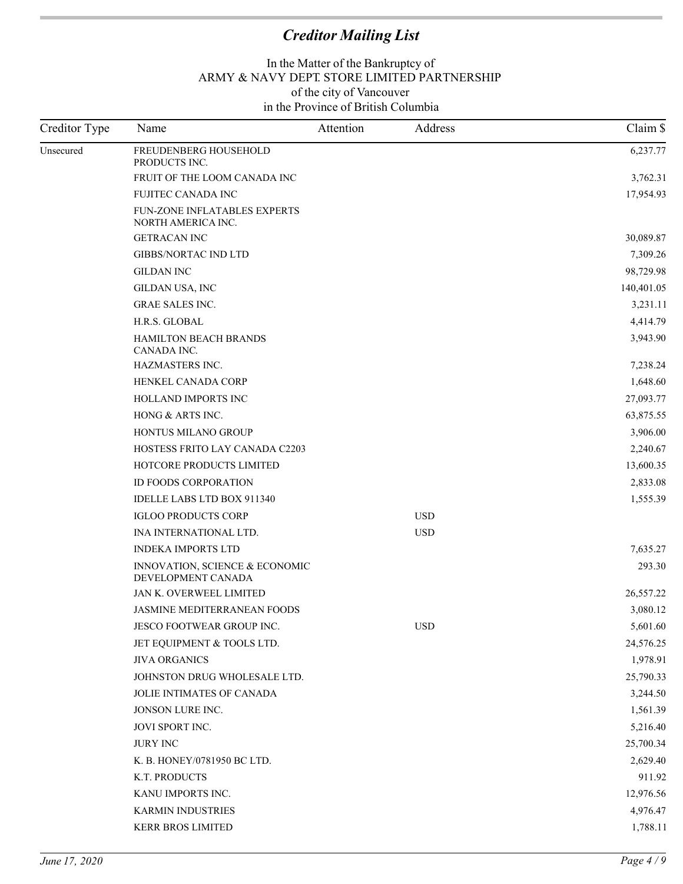| Creditor Type | Name                                                      | Attention | Address    | Claim \$   |
|---------------|-----------------------------------------------------------|-----------|------------|------------|
| Unsecured     | FREUDENBERG HOUSEHOLD<br>PRODUCTS INC.                    |           |            | 6,237.77   |
|               | FRUIT OF THE LOOM CANADA INC                              |           |            | 3,762.31   |
|               | FUJITEC CANADA INC                                        |           |            | 17,954.93  |
|               | <b>FUN-ZONE INFLATABLES EXPERTS</b><br>NORTH AMERICA INC. |           |            |            |
|               | <b>GETRACAN INC</b>                                       |           |            | 30,089.87  |
|               | <b>GIBBS/NORTAC IND LTD</b>                               |           |            | 7,309.26   |
|               | <b>GILDAN INC</b>                                         |           |            | 98,729.98  |
|               | GILDAN USA, INC                                           |           |            | 140,401.05 |
|               | <b>GRAE SALES INC.</b>                                    |           |            | 3,231.11   |
|               | H.R.S. GLOBAL                                             |           |            | 4,414.79   |
|               | <b>HAMILTON BEACH BRANDS</b><br>CANADA INC.               |           |            | 3,943.90   |
|               | HAZMASTERS INC.                                           |           |            | 7,238.24   |
|               | HENKEL CANADA CORP                                        |           |            | 1,648.60   |
|               | HOLLAND IMPORTS INC                                       |           |            | 27,093.77  |
|               | HONG & ARTS INC.                                          |           |            | 63,875.55  |
|               | HONTUS MILANO GROUP                                       |           |            | 3,906.00   |
|               | HOSTESS FRITO LAY CANADA C2203                            |           |            | 2,240.67   |
|               | HOTCORE PRODUCTS LIMITED                                  |           |            | 13,600.35  |
|               | <b>ID FOODS CORPORATION</b>                               |           |            | 2,833.08   |
|               | IDELLE LABS LTD BOX 911340                                |           |            | 1,555.39   |
|               | <b>IGLOO PRODUCTS CORP</b>                                |           | <b>USD</b> |            |
|               | INA INTERNATIONAL LTD.                                    |           | <b>USD</b> |            |
|               | <b>INDEKA IMPORTS LTD</b>                                 |           |            | 7,635.27   |
|               | INNOVATION, SCIENCE & ECONOMIC<br>DEVELOPMENT CANADA      |           |            | 293.30     |
|               | JAN K. OVERWEEL LIMITED                                   |           |            | 26,557.22  |
|               | <b>JASMINE MEDITERRANEAN FOODS</b>                        |           |            | 3,080.12   |
|               | JESCO FOOTWEAR GROUP INC.                                 |           | <b>USD</b> | 5,601.60   |
|               | JET EQUIPMENT & TOOLS LTD.                                |           |            | 24,576.25  |
|               | <b>JIVA ORGANICS</b>                                      |           |            | 1,978.91   |
|               | JOHNSTON DRUG WHOLESALE LTD.                              |           |            | 25,790.33  |
|               | JOLIE INTIMATES OF CANADA                                 |           |            | 3,244.50   |
|               | JONSON LURE INC.                                          |           |            | 1,561.39   |
|               | JOVI SPORT INC.                                           |           |            | 5,216.40   |
|               | <b>JURY INC</b>                                           |           |            | 25,700.34  |
|               | K. B. HONEY/0781950 BC LTD.                               |           |            | 2,629.40   |
|               | K.T. PRODUCTS                                             |           |            | 911.92     |
|               | KANU IMPORTS INC.                                         |           |            | 12,976.56  |
|               | <b>KARMIN INDUSTRIES</b>                                  |           |            | 4,976.47   |
|               | KERR BROS LIMITED                                         |           |            | 1,788.11   |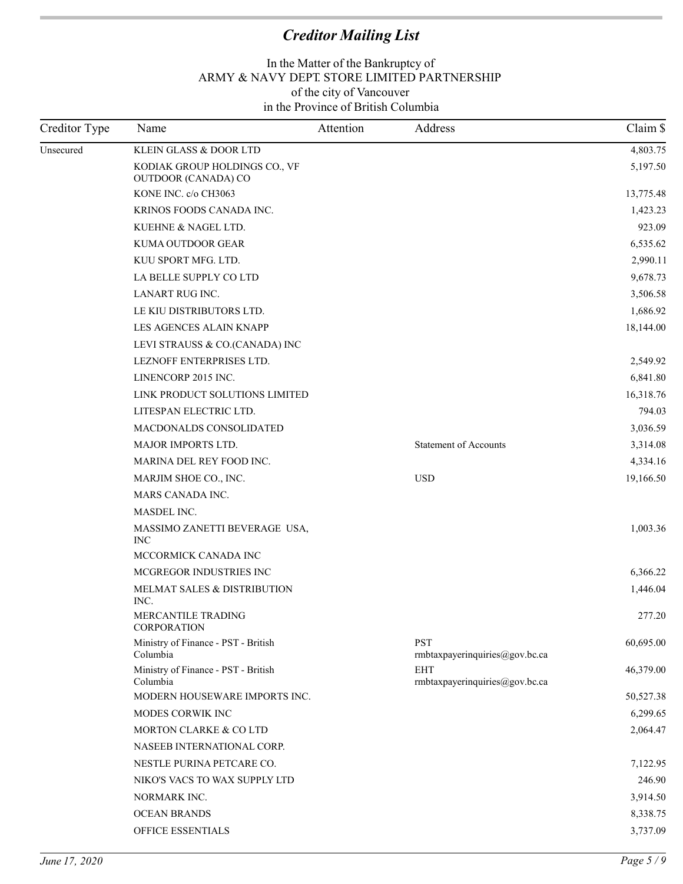| Creditor Type | Name                                                 | Attention | Address                                      | Claim \$  |
|---------------|------------------------------------------------------|-----------|----------------------------------------------|-----------|
| Unsecured     | KLEIN GLASS & DOOR LTD                               |           |                                              | 4,803.75  |
|               | KODIAK GROUP HOLDINGS CO., VF<br>OUTDOOR (CANADA) CO |           |                                              | 5,197.50  |
|               | KONE INC. c/o CH3063                                 |           |                                              | 13,775.48 |
|               | KRINOS FOODS CANADA INC.                             |           |                                              | 1,423.23  |
|               | KUEHNE & NAGEL LTD.                                  |           |                                              | 923.09    |
|               | KUMA OUTDOOR GEAR                                    |           |                                              | 6,535.62  |
|               | KUU SPORT MFG. LTD.                                  |           |                                              | 2,990.11  |
|               | LA BELLE SUPPLY CO LTD                               |           |                                              | 9,678.73  |
|               | LANART RUG INC.                                      |           |                                              | 3,506.58  |
|               | LE KIU DISTRIBUTORS LTD.                             |           |                                              | 1,686.92  |
|               | LES AGENCES ALAIN KNAPP                              |           |                                              | 18,144.00 |
|               | LEVI STRAUSS & CO.(CANADA) INC                       |           |                                              |           |
|               | LEZNOFF ENTERPRISES LTD.                             |           |                                              | 2,549.92  |
|               | LINENCORP 2015 INC.                                  |           |                                              | 6,841.80  |
|               | LINK PRODUCT SOLUTIONS LIMITED                       |           |                                              | 16,318.76 |
|               | LITESPAN ELECTRIC LTD.                               |           |                                              | 794.03    |
|               | <b>MACDONALDS CONSOLIDATED</b>                       |           |                                              | 3,036.59  |
|               | <b>MAJOR IMPORTS LTD.</b>                            |           | <b>Statement of Accounts</b>                 | 3,314.08  |
|               | MARINA DEL REY FOOD INC.                             |           |                                              | 4,334.16  |
|               | MARJIM SHOE CO., INC.                                |           | <b>USD</b>                                   | 19,166.50 |
|               | MARS CANADA INC.                                     |           |                                              |           |
|               | MASDEL INC.                                          |           |                                              |           |
|               | MASSIMO ZANETTI BEVERAGE USA,<br><b>INC</b>          |           |                                              | 1,003.36  |
|               | MCCORMICK CANADA INC                                 |           |                                              |           |
|               | MCGREGOR INDUSTRIES INC                              |           |                                              | 6,366.22  |
|               | MELMAT SALES & DISTRIBUTION<br>INC.                  |           |                                              | 1,446.04  |
|               | MERCANTILE TRADING<br><b>CORPORATION</b>             |           |                                              | 277.20    |
|               | Ministry of Finance - PST - British<br>Columbia      |           | <b>PST</b><br>rmbtaxpayerinquiries@gov.bc.ca | 60,695.00 |
|               | Ministry of Finance - PST - British<br>Columbia      |           | <b>EHT</b><br>rmbtaxpayerinquiries@gov.bc.ca | 46,379.00 |
|               | MODERN HOUSEWARE IMPORTS INC.                        |           |                                              | 50,527.38 |
|               | MODES CORWIK INC                                     |           |                                              | 6,299.65  |
|               | MORTON CLARKE & CO LTD                               |           |                                              | 2,064.47  |
|               | NASEEB INTERNATIONAL CORP.                           |           |                                              |           |
|               | NESTLE PURINA PETCARE CO.                            |           |                                              | 7,122.95  |
|               | NIKO'S VACS TO WAX SUPPLY LTD                        |           |                                              | 246.90    |
|               | NORMARK INC.                                         |           |                                              | 3,914.50  |
|               | <b>OCEAN BRANDS</b>                                  |           |                                              | 8,338.75  |
|               | OFFICE ESSENTIALS                                    |           |                                              | 3,737.09  |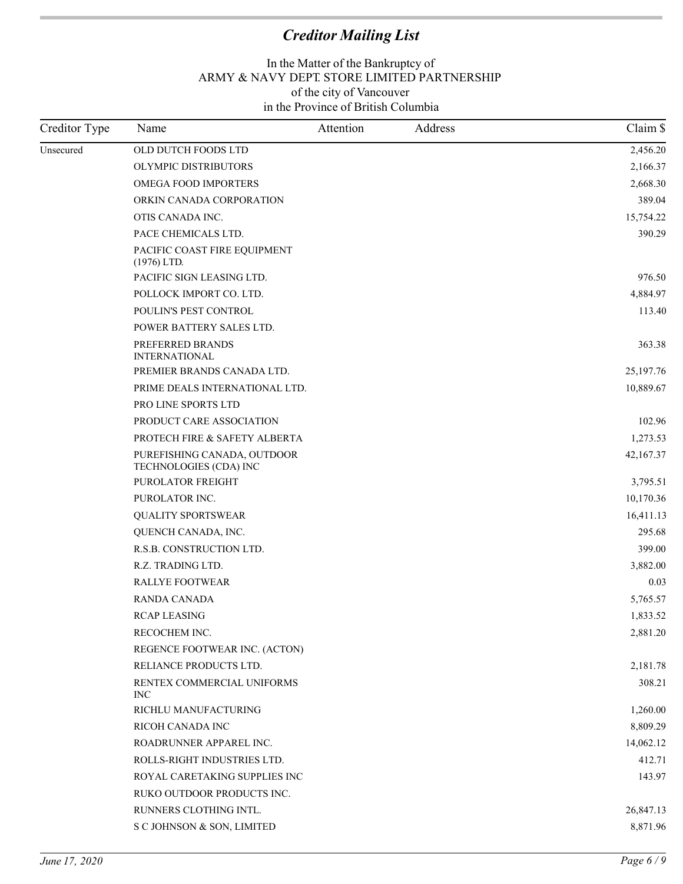| Creditor Type | Name                                                  | Attention | Address | Claim \$  |
|---------------|-------------------------------------------------------|-----------|---------|-----------|
| Unsecured     | OLD DUTCH FOODS LTD                                   |           |         | 2,456.20  |
|               | OLYMPIC DISTRIBUTORS                                  |           |         | 2,166.37  |
|               | <b>OMEGA FOOD IMPORTERS</b>                           |           |         | 2,668.30  |
|               | ORKIN CANADA CORPORATION                              |           |         | 389.04    |
|               | OTIS CANADA INC.                                      |           |         | 15,754.22 |
|               | PACE CHEMICALS LTD.                                   |           |         | 390.29    |
|               | PACIFIC COAST FIRE EQUIPMENT<br>$(1976)$ LTD.         |           |         |           |
|               | PACIFIC SIGN LEASING LTD.                             |           |         | 976.50    |
|               | POLLOCK IMPORT CO. LTD.                               |           |         | 4,884.97  |
|               | POULIN'S PEST CONTROL                                 |           |         | 113.40    |
|               | POWER BATTERY SALES LTD.                              |           |         |           |
|               | PREFERRED BRANDS<br><b>INTERNATIONAL</b>              |           |         | 363.38    |
|               | PREMIER BRANDS CANADA LTD.                            |           |         | 25,197.76 |
|               | PRIME DEALS INTERNATIONAL LTD.                        |           |         | 10,889.67 |
|               | PRO LINE SPORTS LTD                                   |           |         |           |
|               | PRODUCT CARE ASSOCIATION                              |           |         | 102.96    |
|               | PROTECH FIRE & SAFETY ALBERTA                         |           |         | 1,273.53  |
|               | PUREFISHING CANADA, OUTDOOR<br>TECHNOLOGIES (CDA) INC |           |         | 42,167.37 |
|               | PUROLATOR FREIGHT                                     |           |         | 3,795.51  |
|               | PUROLATOR INC.                                        |           |         | 10,170.36 |
|               | <b>QUALITY SPORTSWEAR</b>                             |           |         | 16,411.13 |
|               | QUENCH CANADA, INC.                                   |           |         | 295.68    |
|               | R.S.B. CONSTRUCTION LTD.                              |           |         | 399.00    |
|               | R.Z. TRADING LTD.                                     |           |         | 3,882.00  |
|               | <b>RALLYE FOOTWEAR</b>                                |           |         | 0.03      |
|               | RANDA CANADA                                          |           |         | 5,765.57  |
|               | <b>RCAP LEASING</b>                                   |           |         | 1,833.52  |
|               | RECOCHEM INC.                                         |           |         | 2,881.20  |
|               | REGENCE FOOTWEAR INC. (ACTON)                         |           |         |           |
|               | RELIANCE PRODUCTS LTD.                                |           |         | 2,181.78  |
|               | RENTEX COMMERCIAL UNIFORMS<br><b>INC</b>              |           |         | 308.21    |
|               | RICHLU MANUFACTURING                                  |           |         | 1,260.00  |
|               | RICOH CANADA INC                                      |           |         | 8,809.29  |
|               | ROADRUNNER APPAREL INC.                               |           |         | 14,062.12 |
|               | ROLLS-RIGHT INDUSTRIES LTD.                           |           |         | 412.71    |
|               | ROYAL CARETAKING SUPPLIES INC                         |           |         | 143.97    |
|               | RUKO OUTDOOR PRODUCTS INC.                            |           |         |           |
|               | RUNNERS CLOTHING INTL.                                |           |         | 26,847.13 |
|               | S C JOHNSON & SON, LIMITED                            |           |         | 8,871.96  |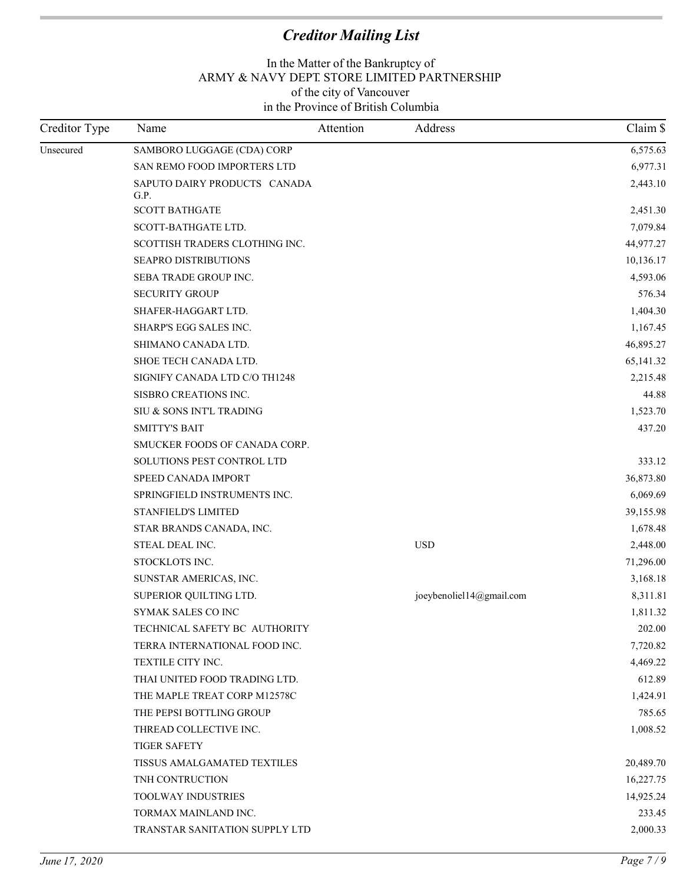| Creditor Type | Name                                 | Attention | Address                      | Claim \$  |
|---------------|--------------------------------------|-----------|------------------------------|-----------|
| Unsecured     | SAMBORO LUGGAGE (CDA) CORP           |           |                              | 6,575.63  |
|               | SAN REMO FOOD IMPORTERS LTD          |           |                              | 6,977.31  |
|               | SAPUTO DAIRY PRODUCTS CANADA<br>G.P. |           |                              | 2,443.10  |
|               | <b>SCOTT BATHGATE</b>                |           |                              | 2,451.30  |
|               | SCOTT-BATHGATE LTD.                  |           |                              | 7,079.84  |
|               | SCOTTISH TRADERS CLOTHING INC.       |           |                              | 44,977.27 |
|               | SEAPRO DISTRIBUTIONS                 |           |                              | 10,136.17 |
|               | SEBA TRADE GROUP INC.                |           |                              | 4,593.06  |
|               | <b>SECURITY GROUP</b>                |           |                              | 576.34    |
|               | SHAFER-HAGGART LTD.                  |           |                              | 1,404.30  |
|               | SHARP'S EGG SALES INC.               |           |                              | 1,167.45  |
|               | SHIMANO CANADA LTD.                  |           |                              | 46,895.27 |
|               | SHOE TECH CANADA LTD.                |           |                              | 65,141.32 |
|               | SIGNIFY CANADA LTD C/O TH1248        |           |                              | 2,215.48  |
|               | SISBRO CREATIONS INC.                |           |                              | 44.88     |
|               | SIU & SONS INT'L TRADING             |           |                              | 1,523.70  |
|               | <b>SMITTY'S BAIT</b>                 |           |                              | 437.20    |
|               | SMUCKER FOODS OF CANADA CORP.        |           |                              |           |
|               | SOLUTIONS PEST CONTROL LTD           |           |                              | 333.12    |
|               | SPEED CANADA IMPORT                  |           |                              | 36,873.80 |
|               | SPRINGFIELD INSTRUMENTS INC.         |           |                              | 6,069.69  |
|               | STANFIELD'S LIMITED                  |           |                              | 39,155.98 |
|               | STAR BRANDS CANADA, INC.             |           |                              | 1,678.48  |
|               | STEAL DEAL INC.                      |           | <b>USD</b>                   | 2,448.00  |
|               | STOCKLOTS INC.                       |           |                              | 71,296.00 |
|               | SUNSTAR AMERICAS, INC.               |           |                              | 3,168.18  |
|               | SUPERIOR QUILTING LTD.               |           | joeybenoliel $14@$ gmail.com | 8,311.81  |
|               | SYMAK SALES CO INC                   |           |                              | 1,811.32  |
|               | TECHNICAL SAFETY BC AUTHORITY        |           |                              | 202.00    |
|               | TERRA INTERNATIONAL FOOD INC.        |           |                              | 7,720.82  |
|               | TEXTILE CITY INC.                    |           |                              | 4,469.22  |
|               | THAI UNITED FOOD TRADING LTD.        |           |                              | 612.89    |
|               | THE MAPLE TREAT CORP M12578C         |           |                              | 1,424.91  |
|               | THE PEPSI BOTTLING GROUP             |           |                              | 785.65    |
|               | THREAD COLLECTIVE INC.               |           |                              | 1,008.52  |
|               | <b>TIGER SAFETY</b>                  |           |                              |           |
|               | TISSUS AMALGAMATED TEXTILES          |           |                              | 20,489.70 |
|               | TNH CONTRUCTION                      |           |                              | 16,227.75 |
|               | <b>TOOLWAY INDUSTRIES</b>            |           |                              | 14,925.24 |
|               | TORMAX MAINLAND INC.                 |           |                              | 233.45    |
|               | TRANSTAR SANITATION SUPPLY LTD       |           |                              | 2,000.33  |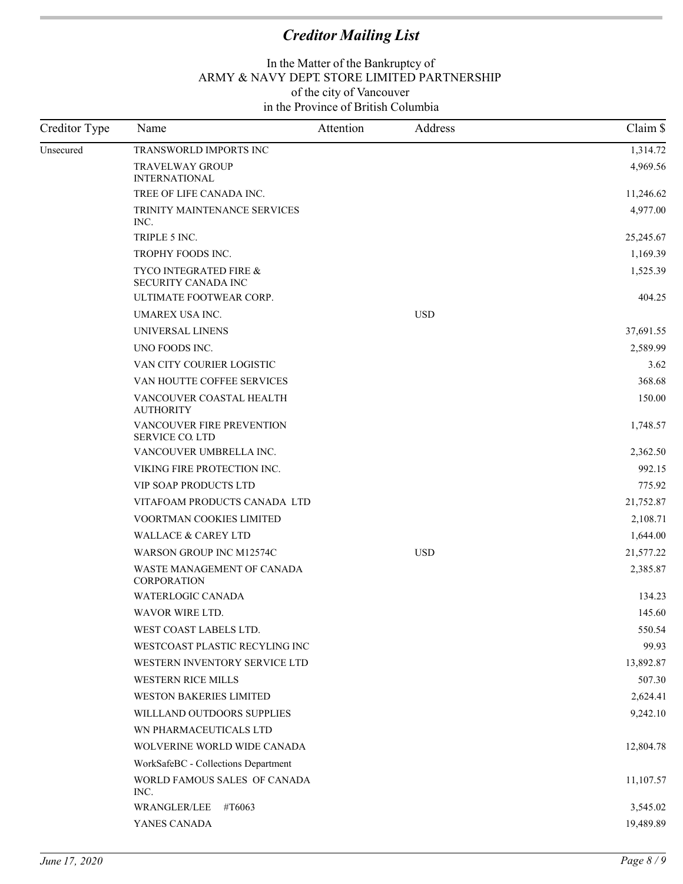| Creditor Type | Name                                                | Attention | Address    | Claim \$  |
|---------------|-----------------------------------------------------|-----------|------------|-----------|
| Unsecured     | TRANSWORLD IMPORTS INC                              |           |            | 1,314.72  |
|               | <b>TRAVELWAY GROUP</b><br><b>INTERNATIONAL</b>      |           |            | 4,969.56  |
|               | TREE OF LIFE CANADA INC.                            |           |            | 11,246.62 |
|               | TRINITY MAINTENANCE SERVICES<br>INC.                |           |            | 4,977.00  |
|               | TRIPLE 5 INC.                                       |           |            | 25,245.67 |
|               | TROPHY FOODS INC.                                   |           |            | 1,169.39  |
|               | TYCO INTEGRATED FIRE &<br>SECURITY CANADA INC       |           |            | 1,525.39  |
|               | ULTIMATE FOOTWEAR CORP.                             |           |            | 404.25    |
|               | UMAREX USA INC.                                     |           | <b>USD</b> |           |
|               | UNIVERSAL LINENS                                    |           |            | 37,691.55 |
|               | UNO FOODS INC.                                      |           |            | 2,589.99  |
|               | VAN CITY COURIER LOGISTIC                           |           |            | 3.62      |
|               | VAN HOUTTE COFFEE SERVICES                          |           |            | 368.68    |
|               | VANCOUVER COASTAL HEALTH<br><b>AUTHORITY</b>        |           |            | 150.00    |
|               | VANCOUVER FIRE PREVENTION<br><b>SERVICE CO. LTD</b> |           |            | 1,748.57  |
|               | VANCOUVER UMBRELLA INC.                             |           |            | 2,362.50  |
|               | VIKING FIRE PROTECTION INC.                         |           |            | 992.15    |
|               | <b>VIP SOAP PRODUCTS LTD</b>                        |           |            | 775.92    |
|               | VITAFOAM PRODUCTS CANADA LTD                        |           |            | 21,752.87 |
|               | VOORTMAN COOKIES LIMITED                            |           |            | 2,108.71  |
|               | <b>WALLACE &amp; CAREY LTD</b>                      |           |            | 1,644.00  |
|               | WARSON GROUP INC M12574C                            |           | <b>USD</b> | 21,577.22 |
|               | WASTE MANAGEMENT OF CANADA<br><b>CORPORATION</b>    |           |            | 2,385.87  |
|               | WATERLOGIC CANADA                                   |           |            | 134.23    |
|               | WAVOR WIRE LTD.                                     |           |            | 145.60    |
|               | WEST COAST LABELS LTD.                              |           |            | 550.54    |
|               | WESTCOAST PLASTIC RECYLING INC                      |           |            | 99.93     |
|               | WESTERN INVENTORY SERVICE LTD                       |           |            | 13,892.87 |
|               | WESTERN RICE MILLS                                  |           |            | 507.30    |
|               | WESTON BAKERIES LIMITED                             |           |            | 2,624.41  |
|               | WILLLAND OUTDOORS SUPPLIES                          |           |            | 9,242.10  |
|               | WN PHARMACEUTICALS LTD                              |           |            |           |
|               | WOLVERINE WORLD WIDE CANADA                         |           |            | 12,804.78 |
|               | WorkSafeBC - Collections Department                 |           |            |           |
|               | WORLD FAMOUS SALES OF CANADA<br>INC.                |           |            | 11,107.57 |
|               | WRANGLER/LEE<br>#T6063                              |           |            | 3,545.02  |
|               | YANES CANADA                                        |           |            | 19,489.89 |